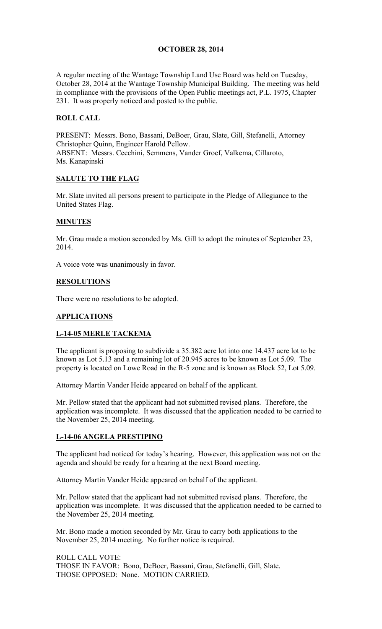### **OCTOBER 28, 2014**

A regular meeting of the Wantage Township Land Use Board was held on Tuesday, October 28, 2014 at the Wantage Township Municipal Building. The meeting was held in compliance with the provisions of the Open Public meetings act, P.L. 1975, Chapter 231. It was properly noticed and posted to the public.

## **ROLL CALL**

PRESENT: Messrs. Bono, Bassani, DeBoer, Grau, Slate, Gill, Stefanelli, Attorney Christopher Quinn, Engineer Harold Pellow. ABSENT: Messrs. Cecchini, Semmens, Vander Groef, Valkema, Cillaroto, Ms. Kanapinski

## **SALUTE TO THE FLAG**

Mr. Slate invited all persons present to participate in the Pledge of Allegiance to the United States Flag.

## **MINUTES**

Mr. Grau made a motion seconded by Ms. Gill to adopt the minutes of September 23, 2014.

A voice vote was unanimously in favor.

### **RESOLUTIONS**

There were no resolutions to be adopted.

### **APPLICATIONS**

### **L-14-05 MERLE TACKEMA**

The applicant is proposing to subdivide a 35.382 acre lot into one 14.437 acre lot to be known as Lot 5.13 and a remaining lot of 20.945 acres to be known as Lot 5.09. The property is located on Lowe Road in the R-5 zone and is known as Block 52, Lot 5.09.

Attorney Martin Vander Heide appeared on behalf of the applicant.

Mr. Pellow stated that the applicant had not submitted revised plans. Therefore, the application was incomplete. It was discussed that the application needed to be carried to the November 25, 2014 meeting.

### **L-14-06 ANGELA PRESTIPINO**

The applicant had noticed for today's hearing. However, this application was not on the agenda and should be ready for a hearing at the next Board meeting.

Attorney Martin Vander Heide appeared on behalf of the applicant.

Mr. Pellow stated that the applicant had not submitted revised plans. Therefore, the application was incomplete. It was discussed that the application needed to be carried to the November 25, 2014 meeting.

Mr. Bono made a motion seconded by Mr. Grau to carry both applications to the November 25, 2014 meeting. No further notice is required.

ROLL CALL VOTE: THOSE IN FAVOR: Bono, DeBoer, Bassani, Grau, Stefanelli, Gill, Slate. THOSE OPPOSED: None. MOTION CARRIED.